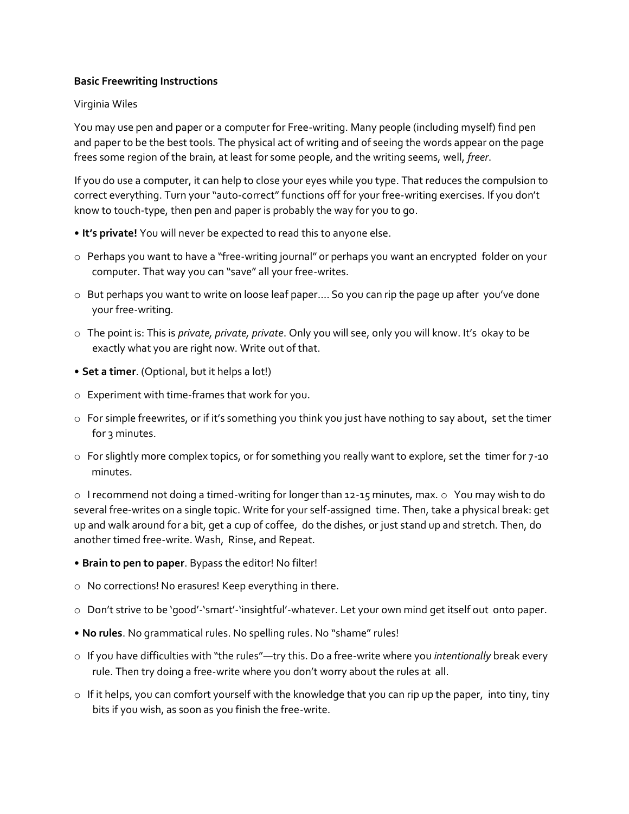## **Basic Freewriting Instructions**

## Virginia Wiles

You may use pen and paper or a computer for Free-writing. Many people (including myself) find pen and paper to be the best tools. The physical act of writing and of seeing the words appear on the page frees some region of the brain, at least for some people, and the writing seems, well, *freer*.

If you do use a computer, it can help to close your eyes while you type. That reduces the compulsion to correct everything. Turn your "auto-correct" functions off for your free-writing exercises. If you don't know to touch-type, then pen and paper is probably the way for you to go.

- **It's private!** You will never be expected to read this to anyone else.
- o Perhaps you want to have a "free-writing journal" or perhaps you want an encrypted folder on your computer. That way you can "save" all your free-writes.
- o But perhaps you want to write on loose leaf paper…. So you can rip the page up after you've done your free-writing.
- o The point is: This is *private, private, private*. Only you will see, only you will know. It's okay to be exactly what you are right now. Write out of that.
- **Set a timer**. (Optional, but it helps a lot!)
- o Experiment with time-frames that work for you.
- o For simple freewrites, or if it's something you think you just have nothing to say about, set the timer for 3 minutes.
- o For slightly more complex topics, or for something you really want to explore, set the timer for 7-10 minutes.

 $\circ$  I recommend not doing a timed-writing for longer than 12-15 minutes, max.  $\circ$  You may wish to do several free-writes on a single topic. Write for your self-assigned time. Then, take a physical break: get up and walk around for a bit, get a cup of coffee, do the dishes, or just stand up and stretch. Then, do another timed free-write. Wash, Rinse, and Repeat.

- **Brain to pen to paper**. Bypass the editor! No filter!
- o No corrections! No erasures! Keep everything in there.
- o Don't strive to be 'good'-'smart'-'insightful'-whatever. Let your own mind get itself out onto paper.
- **No rules**. No grammatical rules. No spelling rules. No "shame" rules!
- o If you have difficulties with "the rules"—try this. Do a free-write where you *intentionally* break every rule. Then try doing a free-write where you don't worry about the rules at all.
- o If it helps, you can comfort yourself with the knowledge that you can rip up the paper, into tiny, tiny bits if you wish, as soon as you finish the free-write.